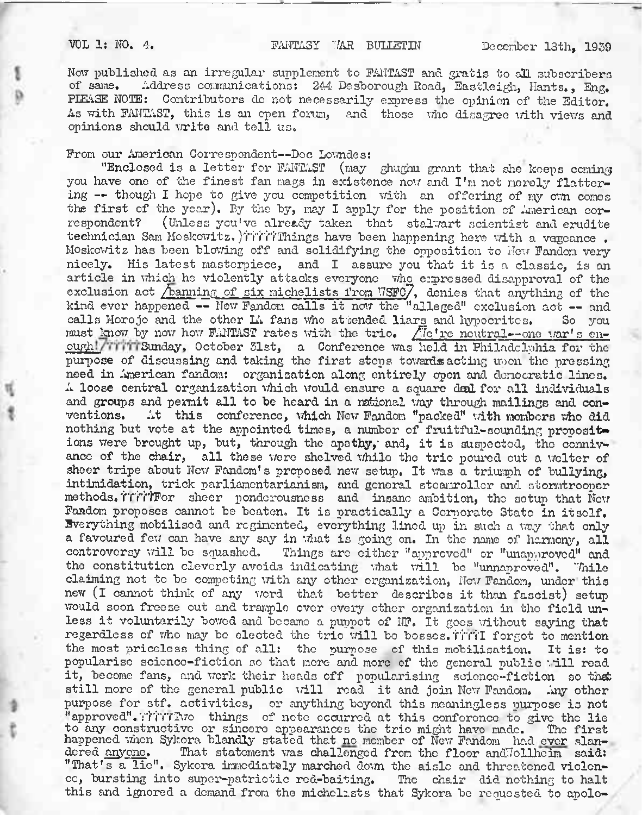Nov; published as an irregular supplement to FANTAST and gratis to all subscribers of same. Address communications; 244- Desborough Road, Eastleigh, Hants., Eng. PLEASE NOTE: Contributors do not necessarily express the opinion of the Editor. As with FANTAST, this is an open forum, and those who disagree with views and opinions should write and tell us.

## From our American Correspondent—Doc Lowndes:

"Enclosed is a letter for FANTAST (may ghughu grant that she keeps coming you have one of the finest fan mags in existence now and I'm not merely flattering — though I hope to give you competition with an offering of my own comes the first of the year). By the by, may I apply for the position of American cor-<br>respondent? (Unless you've already taken that stalwart scientist and equilite (Unless you've already taken that stalwart scientist and erudite technician Sam Moskowitz. )TTTTThings have been happening here with a vageance. Moskowitz has been blowing off and solidifying the opposition to New Fandom very nicely. His latest masterpiece, and I assure you that it is a classic, is an article in which he violently attacks everyone who expressed disapproval of the exclusion act */banning of six michelists from VSFC*/, denies that anything of the kind ever happened -- New Fandom calls it now the "alleged" exclusion act -- and calls Morojo and the other La fans who attended liars and hypocrites. So you calls Morojo and the other Li fans who attended liars and hypocrites. must know by now how FANTAST rates with the trio.  $\sqrt{7}e^t$  re neutral-one war's enough!/ TillSunday, October 31st, a Conference was held in Philadelphia for the purpose of discussing and taking the first stops towards acting upon the pressing need in American fandom: organization along entirely open and democratic lines. <sup>A</sup> loose central organization which would ensure <sup>a</sup> square deal for all individuals and groups and permit all to be heard in a national way through mailings and con-<br>ventions. At this conference, which New Fandom "packed" with members who did At this conference, which New Fandom "packed" with members who did nothing but vote at the appointed times, a number of fruitful-sounding propositions were brought up, but, through the apathy, and, it is suspected, the connivance of the chair, all these were shelved while the trio poured out <sup>a</sup> welter of sheer tripe about New Fandom's proposed new setup. It was a triumph of bullying, intimidation, trick parliamcntarianism, and general steamroller and stormtrooper methods, i'll'i'rFor sheer ponderousness and insane ambition, the setup that New Fandom proposes cannot be beaten. It is practically a Corporate State in itself. Everything mobilised and regimented, everything lined up in such a way that only a favoured few can have any say in what is going on. In the name of harmony, all controversy will be squashed. Things are cither "approved" or "unapproved" and the constitution cleverly avoids indicating what will be "unnaproved". Thile claiming not to be competing with any other organization, New Fandom, under this new (l cannot think of any word that better describes it than fascist) setup would soon freeze out and trample over every other organization in the field unless it voluntarily bowed and became <sup>a</sup> puppet of NF. It goes without saying that regardless of who may be elected the trio will be bosses. Tivil forgot to mention the most priceless thing of all: the purpose of this mobilisation. It is: to popularise science-fiction so that more and more of the general public :till read it, become fans, and work their heads off popularising science-fiction so that still more of the general public will read it and join New Fandom. Any other purpose for stf. activities, or anything beyond this meaningless purpose is not "approved". Thirthe things of note occurred at this conference to give the lie to any constructive or sincere appearances the trio might have made. The first happened when Sykora blandly stated that no member of New Fandom had ever slan-<br>dered anyone. That statement was challenged from the floor and Jollheim said: That statement was challenged from the floor and Jollheim said: "That's a lie", Sykora immediately marched down the aisle and threatened violence, bursting into super-patriotic rod-baiting. The chair did nothing to halt this and ignored a demand from the michelists that Sykora be requested to apolo-